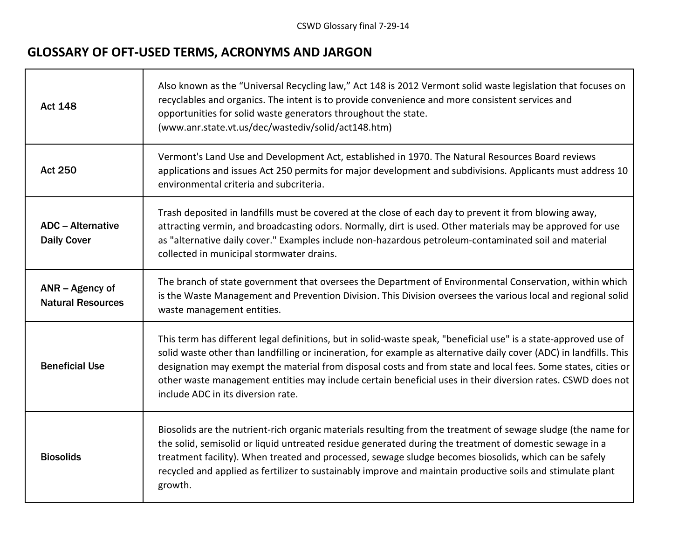## **GLOSSARY OF OFT-USED TERMS, ACRONYMS AND JARGON**

г

| <b>Act 148</b>                                 | Also known as the "Universal Recycling law," Act 148 is 2012 Vermont solid waste legislation that focuses on<br>recyclables and organics. The intent is to provide convenience and more consistent services and<br>opportunities for solid waste generators throughout the state.<br>(www.anr.state.vt.us/dec/wastediv/solid/act148.htm)                                                                                                                                                                      |
|------------------------------------------------|---------------------------------------------------------------------------------------------------------------------------------------------------------------------------------------------------------------------------------------------------------------------------------------------------------------------------------------------------------------------------------------------------------------------------------------------------------------------------------------------------------------|
| <b>Act 250</b>                                 | Vermont's Land Use and Development Act, established in 1970. The Natural Resources Board reviews<br>applications and issues Act 250 permits for major development and subdivisions. Applicants must address 10<br>environmental criteria and subcriteria.                                                                                                                                                                                                                                                     |
| <b>ADC</b> – Alternative<br><b>Daily Cover</b> | Trash deposited in landfills must be covered at the close of each day to prevent it from blowing away,<br>attracting vermin, and broadcasting odors. Normally, dirt is used. Other materials may be approved for use<br>as "alternative daily cover." Examples include non-hazardous petroleum-contaminated soil and material<br>collected in municipal stormwater drains.                                                                                                                                    |
| ANR - Agency of<br><b>Natural Resources</b>    | The branch of state government that oversees the Department of Environmental Conservation, within which<br>is the Waste Management and Prevention Division. This Division oversees the various local and regional solid<br>waste management entities.                                                                                                                                                                                                                                                         |
| <b>Beneficial Use</b>                          | This term has different legal definitions, but in solid-waste speak, "beneficial use" is a state-approved use of<br>solid waste other than landfilling or incineration, for example as alternative daily cover (ADC) in landfills. This<br>designation may exempt the material from disposal costs and from state and local fees. Some states, cities or<br>other waste management entities may include certain beneficial uses in their diversion rates. CSWD does not<br>include ADC in its diversion rate. |
| <b>Biosolids</b>                               | Biosolids are the nutrient-rich organic materials resulting from the treatment of sewage sludge (the name for<br>the solid, semisolid or liquid untreated residue generated during the treatment of domestic sewage in a<br>treatment facility). When treated and processed, sewage sludge becomes biosolids, which can be safely<br>recycled and applied as fertilizer to sustainably improve and maintain productive soils and stimulate plant<br>growth.                                                   |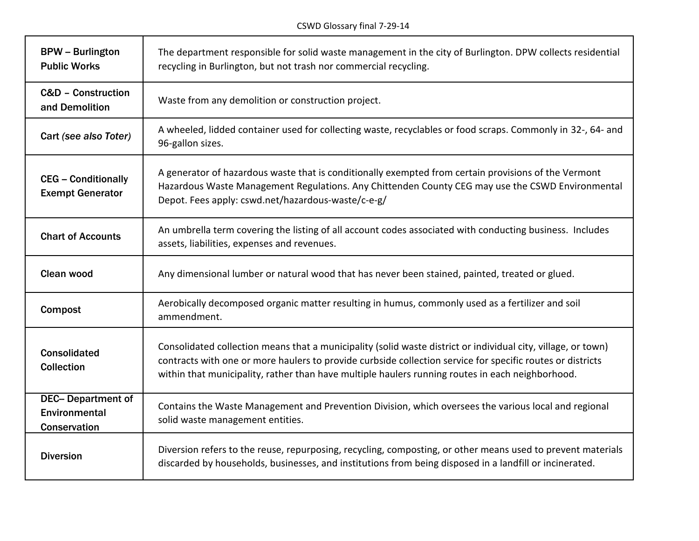┑

Т

г

| <b>BPW</b> - Burlington<br><b>Public Works</b>            | The department responsible for solid waste management in the city of Burlington. DPW collects residential<br>recycling in Burlington, but not trash nor commercial recycling.                                                                                                                                                   |
|-----------------------------------------------------------|---------------------------------------------------------------------------------------------------------------------------------------------------------------------------------------------------------------------------------------------------------------------------------------------------------------------------------|
| <b>C&amp;D - Construction</b><br>and Demolition           | Waste from any demolition or construction project.                                                                                                                                                                                                                                                                              |
| Cart (see also Toter)                                     | A wheeled, lidded container used for collecting waste, recyclables or food scraps. Commonly in 32-, 64- and<br>96-gallon sizes.                                                                                                                                                                                                 |
| <b>CEG - Conditionally</b><br><b>Exempt Generator</b>     | A generator of hazardous waste that is conditionally exempted from certain provisions of the Vermont<br>Hazardous Waste Management Regulations. Any Chittenden County CEG may use the CSWD Environmental<br>Depot. Fees apply: cswd.net/hazardous-waste/c-e-g/                                                                  |
| <b>Chart of Accounts</b>                                  | An umbrella term covering the listing of all account codes associated with conducting business. Includes<br>assets, liabilities, expenses and revenues.                                                                                                                                                                         |
| <b>Clean wood</b>                                         | Any dimensional lumber or natural wood that has never been stained, painted, treated or glued.                                                                                                                                                                                                                                  |
| <b>Compost</b>                                            | Aerobically decomposed organic matter resulting in humus, commonly used as a fertilizer and soil<br>ammendment.                                                                                                                                                                                                                 |
| <b>Consolidated</b><br><b>Collection</b>                  | Consolidated collection means that a municipality (solid waste district or individual city, village, or town)<br>contracts with one or more haulers to provide curbside collection service for specific routes or districts<br>within that municipality, rather than have multiple haulers running routes in each neighborhood. |
| <b>DEC-Department of</b><br>Environmental<br>Conservation | Contains the Waste Management and Prevention Division, which oversees the various local and regional<br>solid waste management entities.                                                                                                                                                                                        |
| <b>Diversion</b>                                          | Diversion refers to the reuse, repurposing, recycling, composting, or other means used to prevent materials<br>discarded by households, businesses, and institutions from being disposed in a landfill or incinerated.                                                                                                          |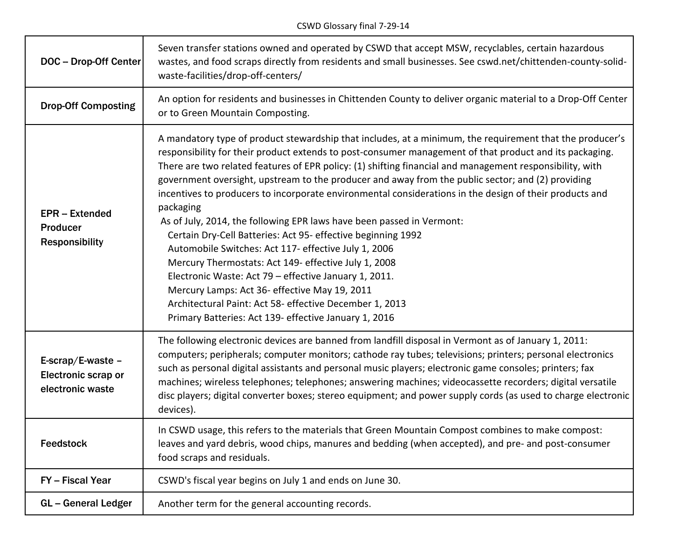| <b>DOC-Drop-Off Center</b>                                            | Seven transfer stations owned and operated by CSWD that accept MSW, recyclables, certain hazardous<br>wastes, and food scraps directly from residents and small businesses. See cswd.net/chittenden-county-solid-<br>waste-facilities/drop-off-centers/                                                                                                                                                                                                                                                                                                                                                                                                                                                                                                                                                                                                                                                                                                                                                                                             |
|-----------------------------------------------------------------------|-----------------------------------------------------------------------------------------------------------------------------------------------------------------------------------------------------------------------------------------------------------------------------------------------------------------------------------------------------------------------------------------------------------------------------------------------------------------------------------------------------------------------------------------------------------------------------------------------------------------------------------------------------------------------------------------------------------------------------------------------------------------------------------------------------------------------------------------------------------------------------------------------------------------------------------------------------------------------------------------------------------------------------------------------------|
| <b>Drop-Off Composting</b>                                            | An option for residents and businesses in Chittenden County to deliver organic material to a Drop-Off Center<br>or to Green Mountain Composting.                                                                                                                                                                                                                                                                                                                                                                                                                                                                                                                                                                                                                                                                                                                                                                                                                                                                                                    |
| <b>EPR</b> – Extended<br>Producer<br><b>Responsibility</b>            | A mandatory type of product stewardship that includes, at a minimum, the requirement that the producer's<br>responsibility for their product extends to post-consumer management of that product and its packaging.<br>There are two related features of EPR policy: (1) shifting financial and management responsibility, with<br>government oversight, upstream to the producer and away from the public sector; and (2) providing<br>incentives to producers to incorporate environmental considerations in the design of their products and<br>packaging<br>As of July, 2014, the following EPR laws have been passed in Vermont:<br>Certain Dry-Cell Batteries: Act 95- effective beginning 1992<br>Automobile Switches: Act 117- effective July 1, 2006<br>Mercury Thermostats: Act 149- effective July 1, 2008<br>Electronic Waste: Act 79 - effective January 1, 2011.<br>Mercury Lamps: Act 36- effective May 19, 2011<br>Architectural Paint: Act 58- effective December 1, 2013<br>Primary Batteries: Act 139- effective January 1, 2016 |
| E-scrap/E-waste $-$<br><b>Electronic scrap or</b><br>electronic waste | The following electronic devices are banned from landfill disposal in Vermont as of January 1, 2011:<br>computers; peripherals; computer monitors; cathode ray tubes; televisions; printers; personal electronics<br>such as personal digital assistants and personal music players; electronic game consoles; printers; fax<br>machines; wireless telephones; telephones; answering machines; videocassette recorders; digital versatile<br>disc players; digital converter boxes; stereo equipment; and power supply cords (as used to charge electronic<br>devices).                                                                                                                                                                                                                                                                                                                                                                                                                                                                             |
| <b>Feedstock</b>                                                      | In CSWD usage, this refers to the materials that Green Mountain Compost combines to make compost:<br>leaves and yard debris, wood chips, manures and bedding (when accepted), and pre- and post-consumer<br>food scraps and residuals.                                                                                                                                                                                                                                                                                                                                                                                                                                                                                                                                                                                                                                                                                                                                                                                                              |
| FY - Fiscal Year                                                      | CSWD's fiscal year begins on July 1 and ends on June 30.                                                                                                                                                                                                                                                                                                                                                                                                                                                                                                                                                                                                                                                                                                                                                                                                                                                                                                                                                                                            |
| <b>GL-General Ledger</b>                                              | Another term for the general accounting records.                                                                                                                                                                                                                                                                                                                                                                                                                                                                                                                                                                                                                                                                                                                                                                                                                                                                                                                                                                                                    |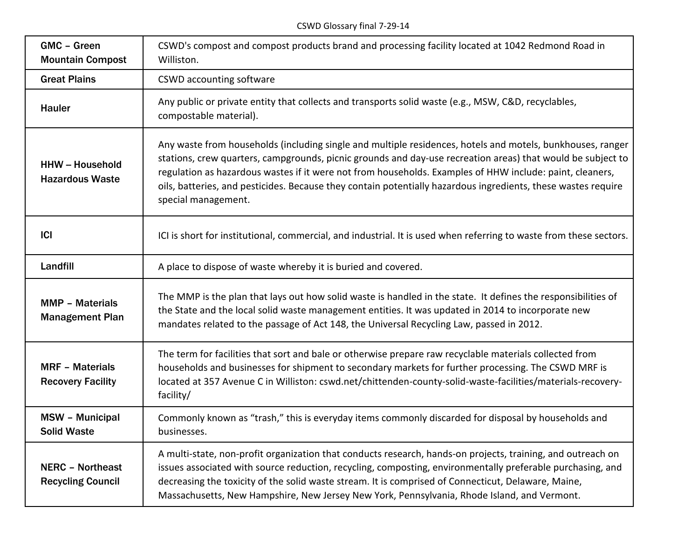CSWD Glossary final 7-29-14

| GMC - Green<br><b>Mountain Compost</b>              | CSWD's compost and compost products brand and processing facility located at 1042 Redmond Road in<br>Williston.                                                                                                                                                                                                                                                                                                                                                               |
|-----------------------------------------------------|-------------------------------------------------------------------------------------------------------------------------------------------------------------------------------------------------------------------------------------------------------------------------------------------------------------------------------------------------------------------------------------------------------------------------------------------------------------------------------|
| <b>Great Plains</b>                                 | <b>CSWD</b> accounting software                                                                                                                                                                                                                                                                                                                                                                                                                                               |
| Hauler                                              | Any public or private entity that collects and transports solid waste (e.g., MSW, C&D, recyclables,<br>compostable material).                                                                                                                                                                                                                                                                                                                                                 |
| <b>HHW-Household</b><br><b>Hazardous Waste</b>      | Any waste from households (including single and multiple residences, hotels and motels, bunkhouses, ranger<br>stations, crew quarters, campgrounds, picnic grounds and day-use recreation areas) that would be subject to<br>regulation as hazardous wastes if it were not from households. Examples of HHW include: paint, cleaners,<br>oils, batteries, and pesticides. Because they contain potentially hazardous ingredients, these wastes require<br>special management. |
| <b>ICI</b>                                          | ICI is short for institutional, commercial, and industrial. It is used when referring to waste from these sectors.                                                                                                                                                                                                                                                                                                                                                            |
| Landfill                                            | A place to dispose of waste whereby it is buried and covered.                                                                                                                                                                                                                                                                                                                                                                                                                 |
| <b>MMP - Materials</b><br><b>Management Plan</b>    | The MMP is the plan that lays out how solid waste is handled in the state. It defines the responsibilities of<br>the State and the local solid waste management entities. It was updated in 2014 to incorporate new<br>mandates related to the passage of Act 148, the Universal Recycling Law, passed in 2012.                                                                                                                                                               |
| <b>MRF - Materials</b><br><b>Recovery Facility</b>  | The term for facilities that sort and bale or otherwise prepare raw recyclable materials collected from<br>households and businesses for shipment to secondary markets for further processing. The CSWD MRF is<br>located at 357 Avenue C in Williston: cswd.net/chittenden-county-solid-waste-facilities/materials-recovery-<br>facility/                                                                                                                                    |
| <b>MSW - Municipal</b><br><b>Solid Waste</b>        | Commonly known as "trash," this is everyday items commonly discarded for disposal by households and<br>businesses.                                                                                                                                                                                                                                                                                                                                                            |
| <b>NERC - Northeast</b><br><b>Recycling Council</b> | A multi-state, non-profit organization that conducts research, hands-on projects, training, and outreach on<br>issues associated with source reduction, recycling, composting, environmentally preferable purchasing, and<br>decreasing the toxicity of the solid waste stream. It is comprised of Connecticut, Delaware, Maine,<br>Massachusetts, New Hampshire, New Jersey New York, Pennsylvania, Rhode Island, and Vermont.                                               |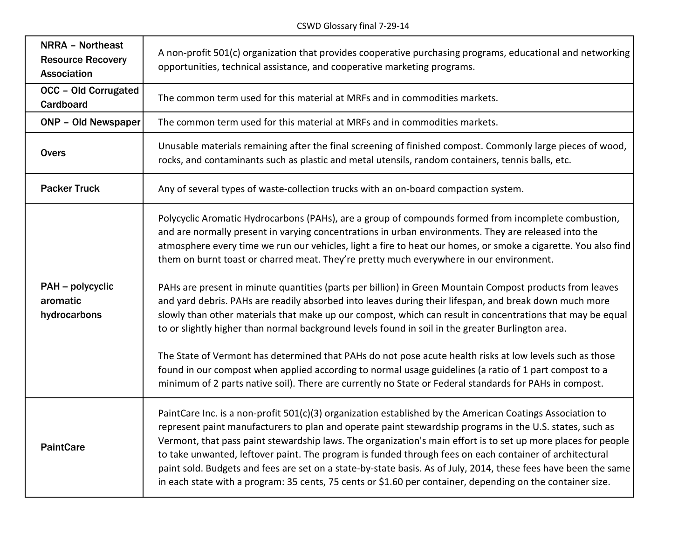| <b>NRRA - Northeast</b><br><b>Resource Recovery</b><br><b>Association</b> | A non-profit 501(c) organization that provides cooperative purchasing programs, educational and networking<br>opportunities, technical assistance, and cooperative marketing programs.                                                                                                                                                                                                                                                                                                                                                                                                                                                                                                                                                                                                                                                                                                                                                                                         |
|---------------------------------------------------------------------------|--------------------------------------------------------------------------------------------------------------------------------------------------------------------------------------------------------------------------------------------------------------------------------------------------------------------------------------------------------------------------------------------------------------------------------------------------------------------------------------------------------------------------------------------------------------------------------------------------------------------------------------------------------------------------------------------------------------------------------------------------------------------------------------------------------------------------------------------------------------------------------------------------------------------------------------------------------------------------------|
| <b>OCC - Old Corrugated</b><br>Cardboard                                  | The common term used for this material at MRFs and in commodities markets.                                                                                                                                                                                                                                                                                                                                                                                                                                                                                                                                                                                                                                                                                                                                                                                                                                                                                                     |
| <b>ONP - Old Newspaper</b>                                                | The common term used for this material at MRFs and in commodities markets.                                                                                                                                                                                                                                                                                                                                                                                                                                                                                                                                                                                                                                                                                                                                                                                                                                                                                                     |
| <b>Overs</b>                                                              | Unusable materials remaining after the final screening of finished compost. Commonly large pieces of wood,<br>rocks, and contaminants such as plastic and metal utensils, random containers, tennis balls, etc.                                                                                                                                                                                                                                                                                                                                                                                                                                                                                                                                                                                                                                                                                                                                                                |
| <b>Packer Truck</b>                                                       | Any of several types of waste-collection trucks with an on-board compaction system.                                                                                                                                                                                                                                                                                                                                                                                                                                                                                                                                                                                                                                                                                                                                                                                                                                                                                            |
| PAH - polycyclic<br>aromatic<br>hydrocarbons                              | Polycyclic Aromatic Hydrocarbons (PAHs), are a group of compounds formed from incomplete combustion,<br>and are normally present in varying concentrations in urban environments. They are released into the<br>atmosphere every time we run our vehicles, light a fire to heat our homes, or smoke a cigarette. You also find<br>them on burnt toast or charred meat. They're pretty much everywhere in our environment.<br>PAHs are present in minute quantities (parts per billion) in Green Mountain Compost products from leaves<br>and yard debris. PAHs are readily absorbed into leaves during their lifespan, and break down much more<br>slowly than other materials that make up our compost, which can result in concentrations that may be equal<br>to or slightly higher than normal background levels found in soil in the greater Burlington area.<br>The State of Vermont has determined that PAHs do not pose acute health risks at low levels such as those |
|                                                                           | found in our compost when applied according to normal usage guidelines (a ratio of 1 part compost to a<br>minimum of 2 parts native soil). There are currently no State or Federal standards for PAHs in compost.                                                                                                                                                                                                                                                                                                                                                                                                                                                                                                                                                                                                                                                                                                                                                              |
| <b>PaintCare</b>                                                          | PaintCare Inc. is a non-profit 501(c)(3) organization established by the American Coatings Association to<br>represent paint manufacturers to plan and operate paint stewardship programs in the U.S. states, such as<br>Vermont, that pass paint stewardship laws. The organization's main effort is to set up more places for people<br>to take unwanted, leftover paint. The program is funded through fees on each container of architectural<br>paint sold. Budgets and fees are set on a state-by-state basis. As of July, 2014, these fees have been the same<br>in each state with a program: 35 cents, 75 cents or \$1.60 per container, depending on the container size.                                                                                                                                                                                                                                                                                             |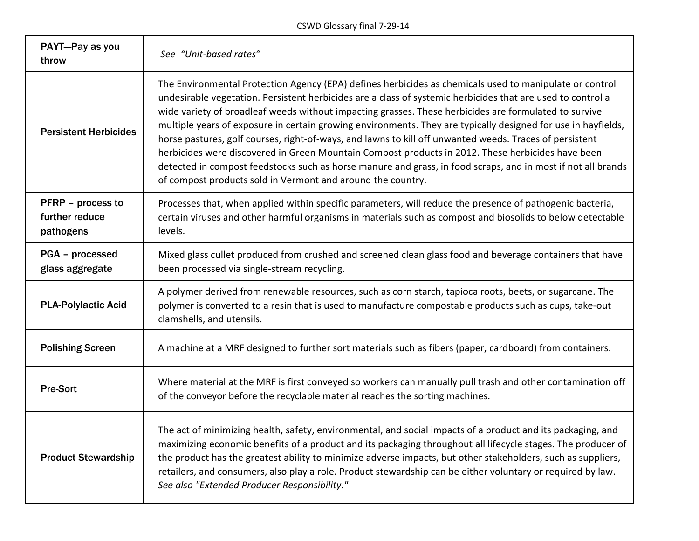CSWD Glossary final 7-29-14

| PAYT-Pay as you<br>throw                         | See "Unit-based rates"                                                                                                                                                                                                                                                                                                                                                                                                                                                                                                                                                                                                                                                                                                                                                                                                                          |
|--------------------------------------------------|-------------------------------------------------------------------------------------------------------------------------------------------------------------------------------------------------------------------------------------------------------------------------------------------------------------------------------------------------------------------------------------------------------------------------------------------------------------------------------------------------------------------------------------------------------------------------------------------------------------------------------------------------------------------------------------------------------------------------------------------------------------------------------------------------------------------------------------------------|
| <b>Persistent Herbicides</b>                     | The Environmental Protection Agency (EPA) defines herbicides as chemicals used to manipulate or control<br>undesirable vegetation. Persistent herbicides are a class of systemic herbicides that are used to control a<br>wide variety of broadleaf weeds without impacting grasses. These herbicides are formulated to survive<br>multiple years of exposure in certain growing environments. They are typically designed for use in hayfields,<br>horse pastures, golf courses, right-of-ways, and lawns to kill off unwanted weeds. Traces of persistent<br>herbicides were discovered in Green Mountain Compost products in 2012. These herbicides have been<br>detected in compost feedstocks such as horse manure and grass, in food scraps, and in most if not all brands<br>of compost products sold in Vermont and around the country. |
| PFRP - process to<br>further reduce<br>pathogens | Processes that, when applied within specific parameters, will reduce the presence of pathogenic bacteria,<br>certain viruses and other harmful organisms in materials such as compost and biosolids to below detectable<br>levels.                                                                                                                                                                                                                                                                                                                                                                                                                                                                                                                                                                                                              |
| PGA - processed<br>glass aggregate               | Mixed glass cullet produced from crushed and screened clean glass food and beverage containers that have<br>been processed via single-stream recycling.                                                                                                                                                                                                                                                                                                                                                                                                                                                                                                                                                                                                                                                                                         |
| <b>PLA-Polylactic Acid</b>                       | A polymer derived from renewable resources, such as corn starch, tapioca roots, beets, or sugarcane. The<br>polymer is converted to a resin that is used to manufacture compostable products such as cups, take-out<br>clamshells, and utensils.                                                                                                                                                                                                                                                                                                                                                                                                                                                                                                                                                                                                |
| <b>Polishing Screen</b>                          | A machine at a MRF designed to further sort materials such as fibers (paper, cardboard) from containers.                                                                                                                                                                                                                                                                                                                                                                                                                                                                                                                                                                                                                                                                                                                                        |
| <b>Pre-Sort</b>                                  | Where material at the MRF is first conveyed so workers can manually pull trash and other contamination off<br>of the conveyor before the recyclable material reaches the sorting machines.                                                                                                                                                                                                                                                                                                                                                                                                                                                                                                                                                                                                                                                      |
| <b>Product Stewardship</b>                       | The act of minimizing health, safety, environmental, and social impacts of a product and its packaging, and<br>maximizing economic benefits of a product and its packaging throughout all lifecycle stages. The producer of<br>the product has the greatest ability to minimize adverse impacts, but other stakeholders, such as suppliers,<br>retailers, and consumers, also play a role. Product stewardship can be either voluntary or required by law.<br>See also "Extended Producer Responsibility."                                                                                                                                                                                                                                                                                                                                      |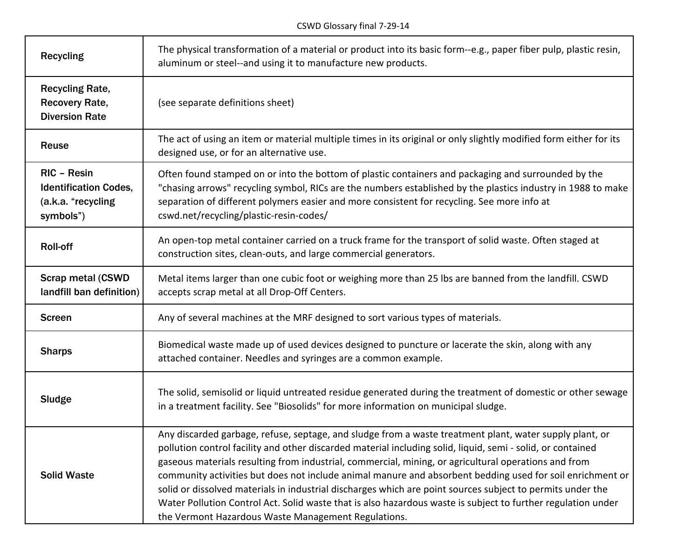| <b>Recycling</b>                                                               | The physical transformation of a material or product into its basic form--e.g., paper fiber pulp, plastic resin,<br>aluminum or steel--and using it to manufacture new products.                                                                                                                                                                                                                                                                                                                                                                                                                                                                                                                                                 |
|--------------------------------------------------------------------------------|----------------------------------------------------------------------------------------------------------------------------------------------------------------------------------------------------------------------------------------------------------------------------------------------------------------------------------------------------------------------------------------------------------------------------------------------------------------------------------------------------------------------------------------------------------------------------------------------------------------------------------------------------------------------------------------------------------------------------------|
| <b>Recycling Rate,</b><br><b>Recovery Rate,</b><br><b>Diversion Rate</b>       | (see separate definitions sheet)                                                                                                                                                                                                                                                                                                                                                                                                                                                                                                                                                                                                                                                                                                 |
| Reuse                                                                          | The act of using an item or material multiple times in its original or only slightly modified form either for its<br>designed use, or for an alternative use.                                                                                                                                                                                                                                                                                                                                                                                                                                                                                                                                                                    |
| RIC - Resin<br><b>Identification Codes,</b><br>(a.k.a. "recycling<br>symbols") | Often found stamped on or into the bottom of plastic containers and packaging and surrounded by the<br>"chasing arrows" recycling symbol, RICs are the numbers established by the plastics industry in 1988 to make<br>separation of different polymers easier and more consistent for recycling. See more info at<br>cswd.net/recycling/plastic-resin-codes/                                                                                                                                                                                                                                                                                                                                                                    |
| <b>Roll-off</b>                                                                | An open-top metal container carried on a truck frame for the transport of solid waste. Often staged at<br>construction sites, clean-outs, and large commercial generators.                                                                                                                                                                                                                                                                                                                                                                                                                                                                                                                                                       |
| <b>Scrap metal (CSWD</b><br>landfill ban definition)                           | Metal items larger than one cubic foot or weighing more than 25 lbs are banned from the landfill. CSWD<br>accepts scrap metal at all Drop-Off Centers.                                                                                                                                                                                                                                                                                                                                                                                                                                                                                                                                                                           |
| <b>Screen</b>                                                                  | Any of several machines at the MRF designed to sort various types of materials.                                                                                                                                                                                                                                                                                                                                                                                                                                                                                                                                                                                                                                                  |
| <b>Sharps</b>                                                                  | Biomedical waste made up of used devices designed to puncture or lacerate the skin, along with any<br>attached container. Needles and syringes are a common example.                                                                                                                                                                                                                                                                                                                                                                                                                                                                                                                                                             |
| Sludge                                                                         | The solid, semisolid or liquid untreated residue generated during the treatment of domestic or other sewage<br>in a treatment facility. See "Biosolids" for more information on municipal sludge.                                                                                                                                                                                                                                                                                                                                                                                                                                                                                                                                |
| <b>Solid Waste</b>                                                             | Any discarded garbage, refuse, septage, and sludge from a waste treatment plant, water supply plant, or<br>pollution control facility and other discarded material including solid, liquid, semi - solid, or contained<br>gaseous materials resulting from industrial, commercial, mining, or agricultural operations and from<br>community activities but does not include animal manure and absorbent bedding used for soil enrichment or<br>solid or dissolved materials in industrial discharges which are point sources subject to permits under the<br>Water Pollution Control Act. Solid waste that is also hazardous waste is subject to further regulation under<br>the Vermont Hazardous Waste Management Regulations. |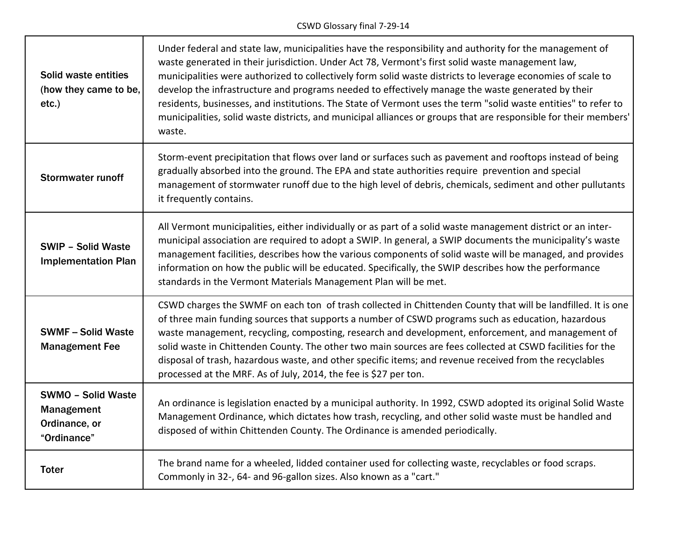## CSWD Glossary final 7-29-14

٦

| Solid waste entities<br>(how they came to be,<br>$etc.$ )               | Under federal and state law, municipalities have the responsibility and authority for the management of<br>waste generated in their jurisdiction. Under Act 78, Vermont's first solid waste management law,<br>municipalities were authorized to collectively form solid waste districts to leverage economies of scale to<br>develop the infrastructure and programs needed to effectively manage the waste generated by their<br>residents, businesses, and institutions. The State of Vermont uses the term "solid waste entities" to refer to<br>municipalities, solid waste districts, and municipal alliances or groups that are responsible for their members'<br>waste. |
|-------------------------------------------------------------------------|---------------------------------------------------------------------------------------------------------------------------------------------------------------------------------------------------------------------------------------------------------------------------------------------------------------------------------------------------------------------------------------------------------------------------------------------------------------------------------------------------------------------------------------------------------------------------------------------------------------------------------------------------------------------------------|
| <b>Stormwater runoff</b>                                                | Storm-event precipitation that flows over land or surfaces such as pavement and rooftops instead of being<br>gradually absorbed into the ground. The EPA and state authorities require prevention and special<br>management of stormwater runoff due to the high level of debris, chemicals, sediment and other pullutants<br>it frequently contains.                                                                                                                                                                                                                                                                                                                           |
| <b>SWIP - Solid Waste</b><br><b>Implementation Plan</b>                 | All Vermont municipalities, either individually or as part of a solid waste management district or an inter-<br>municipal association are required to adopt a SWIP. In general, a SWIP documents the municipality's waste<br>management facilities, describes how the various components of solid waste will be managed, and provides<br>information on how the public will be educated. Specifically, the SWIP describes how the performance<br>standards in the Vermont Materials Management Plan will be met.                                                                                                                                                                |
| <b>SWMF-Solid Waste</b><br><b>Management Fee</b>                        | CSWD charges the SWMF on each ton of trash collected in Chittenden County that will be landfilled. It is one<br>of three main funding sources that supports a number of CSWD programs such as education, hazardous<br>waste management, recycling, composting, research and development, enforcement, and management of<br>solid waste in Chittenden County. The other two main sources are fees collected at CSWD facilities for the<br>disposal of trash, hazardous waste, and other specific items; and revenue received from the recyclables<br>processed at the MRF. As of July, 2014, the fee is \$27 per ton.                                                            |
| <b>SWMO - Solid Waste</b><br>Management<br>Ordinance, or<br>"Ordinance" | An ordinance is legislation enacted by a municipal authority. In 1992, CSWD adopted its original Solid Waste<br>Management Ordinance, which dictates how trash, recycling, and other solid waste must be handled and<br>disposed of within Chittenden County. The Ordinance is amended periodically.                                                                                                                                                                                                                                                                                                                                                                            |
| <b>Toter</b>                                                            | The brand name for a wheeled, lidded container used for collecting waste, recyclables or food scraps.<br>Commonly in 32-, 64- and 96-gallon sizes. Also known as a "cart."                                                                                                                                                                                                                                                                                                                                                                                                                                                                                                      |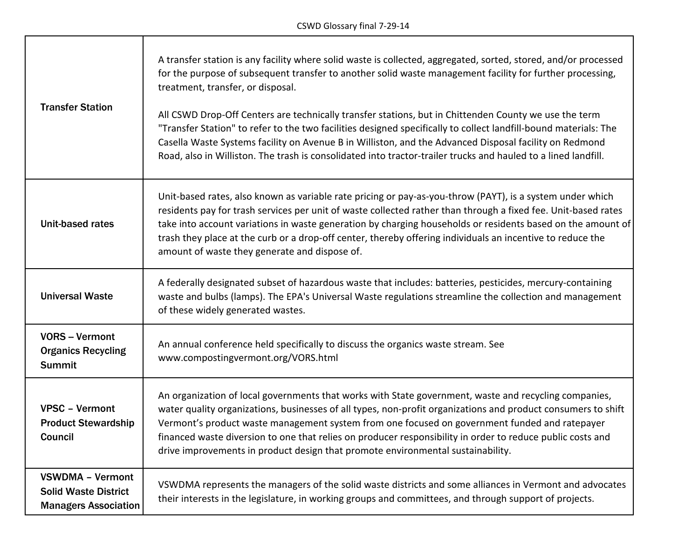┑

т

| <b>Transfer Station</b>                                                               | A transfer station is any facility where solid waste is collected, aggregated, sorted, stored, and/or processed<br>for the purpose of subsequent transfer to another solid waste management facility for further processing,<br>treatment, transfer, or disposal.<br>All CSWD Drop-Off Centers are technically transfer stations, but in Chittenden County we use the term<br>"Transfer Station" to refer to the two facilities designed specifically to collect landfill-bound materials: The<br>Casella Waste Systems facility on Avenue B in Williston, and the Advanced Disposal facility on Redmond<br>Road, also in Williston. The trash is consolidated into tractor-trailer trucks and hauled to a lined landfill. |
|---------------------------------------------------------------------------------------|----------------------------------------------------------------------------------------------------------------------------------------------------------------------------------------------------------------------------------------------------------------------------------------------------------------------------------------------------------------------------------------------------------------------------------------------------------------------------------------------------------------------------------------------------------------------------------------------------------------------------------------------------------------------------------------------------------------------------|
| Unit-based rates                                                                      | Unit-based rates, also known as variable rate pricing or pay-as-you-throw (PAYT), is a system under which<br>residents pay for trash services per unit of waste collected rather than through a fixed fee. Unit-based rates<br>take into account variations in waste generation by charging households or residents based on the amount of<br>trash they place at the curb or a drop-off center, thereby offering individuals an incentive to reduce the<br>amount of waste they generate and dispose of.                                                                                                                                                                                                                  |
| <b>Universal Waste</b>                                                                | A federally designated subset of hazardous waste that includes: batteries, pesticides, mercury-containing<br>waste and bulbs (lamps). The EPA's Universal Waste regulations streamline the collection and management<br>of these widely generated wastes.                                                                                                                                                                                                                                                                                                                                                                                                                                                                  |
| <b>VORS - Vermont</b><br><b>Organics Recycling</b><br><b>Summit</b>                   | An annual conference held specifically to discuss the organics waste stream. See<br>www.compostingvermont.org/VORS.html                                                                                                                                                                                                                                                                                                                                                                                                                                                                                                                                                                                                    |
| <b>VPSC - Vermont</b><br><b>Product Stewardship</b><br>Council                        | An organization of local governments that works with State government, waste and recycling companies,<br>water quality organizations, businesses of all types, non-profit organizations and product consumers to shift<br>Vermont's product waste management system from one focused on government funded and ratepayer<br>financed waste diversion to one that relies on producer responsibility in order to reduce public costs and<br>drive improvements in product design that promote environmental sustainability.                                                                                                                                                                                                   |
| <b>VSWDMA - Vermont</b><br><b>Solid Waste District</b><br><b>Managers Association</b> | VSWDMA represents the managers of the solid waste districts and some alliances in Vermont and advocates<br>their interests in the legislature, in working groups and committees, and through support of projects.                                                                                                                                                                                                                                                                                                                                                                                                                                                                                                          |